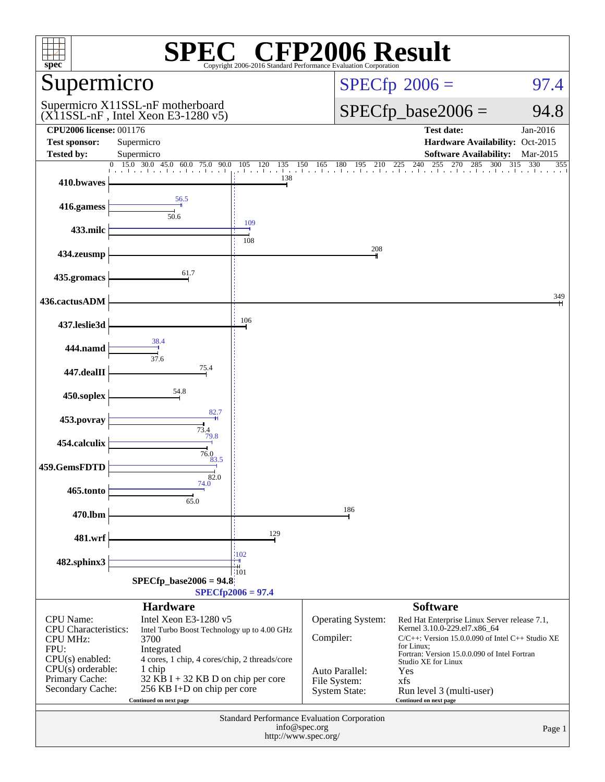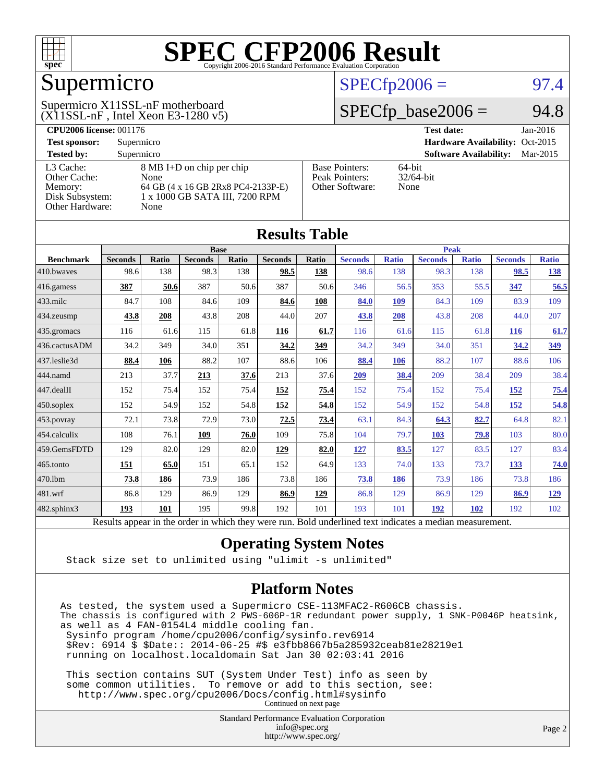

## Supermicro

#### $(X11SSL-nF$ , Intel Xeon E3-1280 v5) Supermicro X11SSL-nF motherboard

#### $SPECfp2006 = 97.4$  $SPECfp2006 = 97.4$

#### $SPECfp\_base2006 = 94.8$

| <b>CPU2006 license: 001176</b> |                                    |                                 | <b>Test date:</b><br>$Jan-2016$           |  |  |  |
|--------------------------------|------------------------------------|---------------------------------|-------------------------------------------|--|--|--|
| <b>Test sponsor:</b>           | Supermicro                         | Hardware Availability: Oct-2015 |                                           |  |  |  |
| <b>Tested by:</b>              | Supermicro                         |                                 | <b>Software Availability:</b><br>Mar-2015 |  |  |  |
| L3 Cache:                      | 8 MB I+D on chip per chip          | <b>Base Pointers:</b>           | $64$ -bit                                 |  |  |  |
| Other Cache:                   | None                               | Peak Pointers:                  | $32/64$ -bit                              |  |  |  |
| Memory:                        | 64 GB (4 x 16 GB 2Rx8 PC4-2133P-E) | Other Software:                 | None                                      |  |  |  |
| Disk Subsystem:                | 1 x 1000 GB SATA III, 7200 RPM     |                                 |                                           |  |  |  |
| Other Hardware:                | None                               |                                 |                                           |  |  |  |

**[Results Table](http://www.spec.org/auto/cpu2006/Docs/result-fields.html#ResultsTable)**

| Results Table          |                                                                                                          |       |                |       |                |             |                |              |                |              |                |              |
|------------------------|----------------------------------------------------------------------------------------------------------|-------|----------------|-------|----------------|-------------|----------------|--------------|----------------|--------------|----------------|--------------|
|                        | <b>Base</b>                                                                                              |       |                |       |                | <b>Peak</b> |                |              |                |              |                |              |
| <b>Benchmark</b>       | <b>Seconds</b>                                                                                           | Ratio | <b>Seconds</b> | Ratio | <b>Seconds</b> | Ratio       | <b>Seconds</b> | <b>Ratio</b> | <b>Seconds</b> | <b>Ratio</b> | <b>Seconds</b> | <b>Ratio</b> |
| $410$ .bwayes          | 98.6                                                                                                     | 138   | 98.3           | 138   | 98.5           | 138         | 98.6           | 138          | 98.3           | 138          | 98.5           | <u>138</u>   |
| $ 416$ .gamess         | 387                                                                                                      | 50.6  | 387            | 50.6  | 387            | 50.6        | 346            | 56.5         | 353            | 55.5         | 347            | 56.5         |
| $433$ .milc            | 84.7                                                                                                     | 108   | 84.6           | 109   | 84.6           | 108         | 84.0           | 109          | 84.3           | 109          | 83.9           | 109          |
| 434.zeusmp             | 43.8                                                                                                     | 208   | 43.8           | 208   | 44.0           | 207         | 43.8           | 208          | 43.8           | 208          | 44.0           | 207          |
| $435$ .gromacs         | 116                                                                                                      | 61.6  | 115            | 61.8  | 116            | 61.7        | 116            | 61.6         | 115            | 61.8         | <b>116</b>     | 61.7         |
| 436.cactusADM          | 34.2                                                                                                     | 349   | 34.0           | 351   | 34.2           | 349         | 34.2           | 349          | 34.0           | 351          | 34.2           | <u>349</u>   |
| 437.leslie3d           | 88.4                                                                                                     | 106   | 88.2           | 107   | 88.6           | 106         | 88.4           | 106          | 88.2           | 107          | 88.6           | 106          |
| 444.namd               | 213                                                                                                      | 37.7  | 213            | 37.6  | 213            | 37.6        | 209            | 38.4         | 209            | 38.4         | 209            | 38.4         |
| $ 447 \text{.}$ dealII | 152                                                                                                      | 75.4  | 152            | 75.4  | 152            | 75.4        | 152            | 75.4         | 152            | 75.4         | 152            | 75.4         |
| $450$ .soplex          | 152                                                                                                      | 54.9  | 152            | 54.8  | 152            | 54.8        | 152            | 54.9         | 152            | 54.8         | 152            | 54.8         |
| $ 453$ . povray        | 72.1                                                                                                     | 73.8  | 72.9           | 73.0  | 72.5           | 73.4        | 63.1           | 84.3         | 64.3           | 82.7         | 64.8           | 82.1         |
| $ 454$ .calculix       | 108                                                                                                      | 76.1  | 109            | 76.0  | 109            | 75.8        | 104            | 79.7         | <b>103</b>     | 79.8         | 103            | 80.0         |
| 459.GemsFDTD           | 129                                                                                                      | 82.0  | 129            | 82.0  | 129            | 82.0        | <u>127</u>     | 83.5         | 127            | 83.5         | 127            | 83.4         |
| 465.tonto              | 151                                                                                                      | 65.0  | 151            | 65.1  | 152            | 64.9        | 133            | 74.0         | 133            | 73.7         | 133            | 74.0         |
| 470.1bm                | 73.8                                                                                                     | 186   | 73.9           | 186   | 73.8           | 186         | 73.8           | 186          | 73.9           | 186          | 73.8           | 186          |
| 481.wrf                | 86.8                                                                                                     | 129   | 86.9           | 129   | 86.9           | 129         | 86.8           | 129          | 86.9           | 129          | 86.9           | <u>129</u>   |
| 482.sphinx3            | 193                                                                                                      | 101   | 195            | 99.8  | 192            | 101         | 193            | 101          | 192            | 102          | 192            | 102          |
|                        | Results appear in the order in which they were run. Bold underlined text indicates a median measurement. |       |                |       |                |             |                |              |                |              |                |              |

#### **[Operating System Notes](http://www.spec.org/auto/cpu2006/Docs/result-fields.html#OperatingSystemNotes)**

Stack size set to unlimited using "ulimit -s unlimited"

#### **[Platform Notes](http://www.spec.org/auto/cpu2006/Docs/result-fields.html#PlatformNotes)**

As tested, the system used a Supermicro CSE-113MFAC2-R606CB chassis. The chassis is configured with 2 PWS-606P-1R redundant power supply, 1 SNK-P0046P heatsink, as well as 4 FAN-0154L4 middle cooling fan. Sysinfo program /home/cpu2006/config/sysinfo.rev6914 \$Rev: 6914 \$ \$Date:: 2014-06-25 #\$ e3fbb8667b5a285932ceab81e28219e1 running on localhost.localdomain Sat Jan 30 02:03:41 2016 This section contains SUT (System Under Test) info as seen by

 some common utilities. To remove or add to this section, see: <http://www.spec.org/cpu2006/Docs/config.html#sysinfo> Continued on next page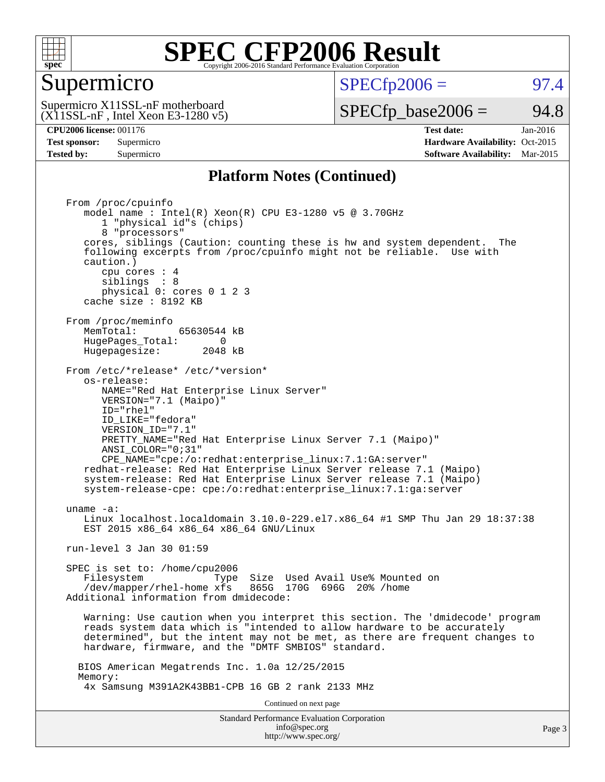

#### Supermicro

 $SPECTp2006 =$  97.4

 $(X11SSL-nF$ , Intel Xeon E3-1280 v5) Supermicro X11SSL-nF motherboard

 $SPECTp\_base2006 = 94.8$ 

**[CPU2006 license:](http://www.spec.org/auto/cpu2006/Docs/result-fields.html#CPU2006license)** 001176 **[Test date:](http://www.spec.org/auto/cpu2006/Docs/result-fields.html#Testdate)** Jan-2016 **[Test sponsor:](http://www.spec.org/auto/cpu2006/Docs/result-fields.html#Testsponsor)** Supermicro Supermicro **[Hardware Availability:](http://www.spec.org/auto/cpu2006/Docs/result-fields.html#HardwareAvailability)** Oct-2015 **[Tested by:](http://www.spec.org/auto/cpu2006/Docs/result-fields.html#Testedby)** Supermicro **Supermicro [Software Availability:](http://www.spec.org/auto/cpu2006/Docs/result-fields.html#SoftwareAvailability)** Mar-2015

#### **[Platform Notes \(Continued\)](http://www.spec.org/auto/cpu2006/Docs/result-fields.html#PlatformNotes)**

Standard Performance Evaluation Corporation From /proc/cpuinfo model name : Intel(R) Xeon(R) CPU E3-1280 v5 @ 3.70GHz 1 "physical id"s (chips) 8 "processors" cores, siblings (Caution: counting these is hw and system dependent. The following excerpts from /proc/cpuinfo might not be reliable. Use with caution.) cpu cores : 4 siblings : 8 physical 0: cores 0 1 2 3 cache size : 8192 KB From /proc/meminfo<br>MemTotal: 65630544 kB HugePages\_Total: 0<br>Hugepagesize: 2048 kB Hugepagesize: From /etc/\*release\* /etc/\*version\* os-release: NAME="Red Hat Enterprise Linux Server" VERSION="7.1 (Maipo)" ID="rhel" ID\_LIKE="fedora" VERSION\_ID="7.1" PRETTY\_NAME="Red Hat Enterprise Linux Server 7.1 (Maipo)" ANSI\_COLOR="0;31" CPE\_NAME="cpe:/o:redhat:enterprise\_linux:7.1:GA:server" redhat-release: Red Hat Enterprise Linux Server release 7.1 (Maipo) system-release: Red Hat Enterprise Linux Server release 7.1 (Maipo) system-release-cpe: cpe:/o:redhat:enterprise\_linux:7.1:ga:server uname -a: Linux localhost.localdomain 3.10.0-229.el7.x86\_64 #1 SMP Thu Jan 29 18:37:38 EST 2015 x86 64 x86 64 x86 64 GNU/Linux run-level 3 Jan 30 01:59 SPEC is set to: /home/cpu2006 Filesystem Type Size Used Avail Use% Mounted on /dev/mapper/rhel-home xfs 865G 170G 696G 20% /home Additional information from dmidecode: Warning: Use caution when you interpret this section. The 'dmidecode' program reads system data which is "intended to allow hardware to be accurately determined", but the intent may not be met, as there are frequent changes to hardware, firmware, and the "DMTF SMBIOS" standard. BIOS American Megatrends Inc. 1.0a 12/25/2015 Memory: 4x Samsung M391A2K43BB1-CPB 16 GB 2 rank 2133 MHz Continued on next page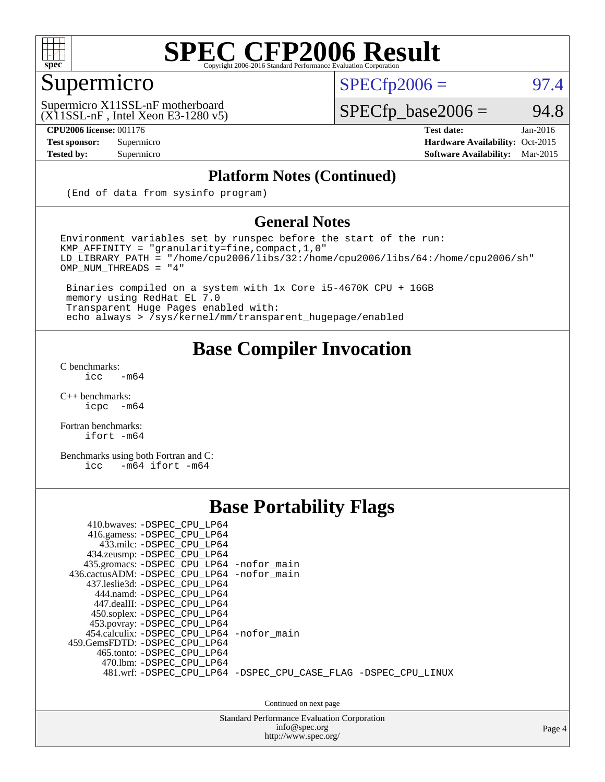

### Supermicro

 $SPECTp2006 =$  97.4

 $(X11SSL-nF$ , Intel Xeon E3-1280 v5) Supermicro X11SSL-nF motherboard

**[CPU2006 license:](http://www.spec.org/auto/cpu2006/Docs/result-fields.html#CPU2006license)** 001176 **[Test date:](http://www.spec.org/auto/cpu2006/Docs/result-fields.html#Testdate)** Jan-2016

 $SPECfp\_base2006 = 94.8$ 

**[Test sponsor:](http://www.spec.org/auto/cpu2006/Docs/result-fields.html#Testsponsor)** Supermicro Supermicro **[Hardware Availability:](http://www.spec.org/auto/cpu2006/Docs/result-fields.html#HardwareAvailability)** Oct-2015 **[Tested by:](http://www.spec.org/auto/cpu2006/Docs/result-fields.html#Testedby)** Supermicro **Supermicro [Software Availability:](http://www.spec.org/auto/cpu2006/Docs/result-fields.html#SoftwareAvailability)** Mar-2015

#### **[Platform Notes \(Continued\)](http://www.spec.org/auto/cpu2006/Docs/result-fields.html#PlatformNotes)**

(End of data from sysinfo program)

#### **[General Notes](http://www.spec.org/auto/cpu2006/Docs/result-fields.html#GeneralNotes)**

Environment variables set by runspec before the start of the run: KMP\_AFFINITY = "granularity=fine,compact,1,0" LD\_LIBRARY\_PATH = "/home/cpu2006/libs/32:/home/cpu2006/libs/64:/home/cpu2006/sh" OMP\_NUM\_THREADS = "4"

 Binaries compiled on a system with 1x Core i5-4670K CPU + 16GB memory using RedHat EL 7.0 Transparent Huge Pages enabled with: echo always > /sys/kernel/mm/transparent\_hugepage/enabled

#### **[Base Compiler Invocation](http://www.spec.org/auto/cpu2006/Docs/result-fields.html#BaseCompilerInvocation)**

[C benchmarks](http://www.spec.org/auto/cpu2006/Docs/result-fields.html#Cbenchmarks):  $\text{icc}$  -m64

 $C++$  benchmarks:<br>icpc  $-m$ -m64

[Fortran benchmarks](http://www.spec.org/auto/cpu2006/Docs/result-fields.html#Fortranbenchmarks): [ifort -m64](http://www.spec.org/cpu2006/results/res2016q1/cpu2006-20160206-38989.flags.html#user_FCbase_intel_ifort_64bit_ee9d0fb25645d0210d97eb0527dcc06e)

[Benchmarks using both Fortran and C](http://www.spec.org/auto/cpu2006/Docs/result-fields.html#BenchmarksusingbothFortranandC): [icc -m64](http://www.spec.org/cpu2006/results/res2016q1/cpu2006-20160206-38989.flags.html#user_CC_FCbase_intel_icc_64bit_0b7121f5ab7cfabee23d88897260401c) [ifort -m64](http://www.spec.org/cpu2006/results/res2016q1/cpu2006-20160206-38989.flags.html#user_CC_FCbase_intel_ifort_64bit_ee9d0fb25645d0210d97eb0527dcc06e)

#### **[Base Portability Flags](http://www.spec.org/auto/cpu2006/Docs/result-fields.html#BasePortabilityFlags)**

| 410.bwaves: -DSPEC CPU LP64<br>416.gamess: -DSPEC_CPU_LP64<br>433.milc: -DSPEC CPU LP64<br>434.zeusmp: -DSPEC_CPU_LP64<br>435.gromacs: -DSPEC_CPU_LP64 -nofor_main<br>436.cactusADM: -DSPEC CPU LP64 -nofor main<br>437.leslie3d: -DSPEC CPU LP64<br>444.namd: -DSPEC CPU LP64<br>447.dealII: -DSPEC CPU LP64 |                                                                |
|---------------------------------------------------------------------------------------------------------------------------------------------------------------------------------------------------------------------------------------------------------------------------------------------------------------|----------------------------------------------------------------|
| 450.soplex: -DSPEC_CPU_LP64<br>453.povray: -DSPEC_CPU_LP64<br>454.calculix: -DSPEC CPU LP64 -nofor main<br>459.GemsFDTD: -DSPEC CPU LP64<br>465.tonto: - DSPEC CPU LP64<br>470.1bm: - DSPEC CPU LP64                                                                                                          | 481.wrf: -DSPEC_CPU_LP64 -DSPEC_CPU_CASE_FLAG -DSPEC_CPU_LINUX |

Continued on next page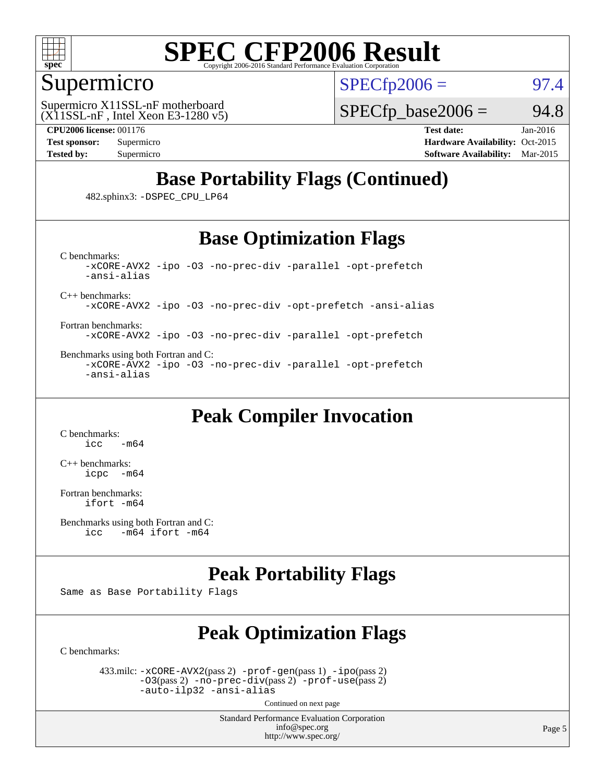

#### Supermicro

 $SPECTp2006 =$  97.4

 $(X11SSL-nF,$  Intel Xeon E3-1280 v5) Supermicro X11SSL-nF motherboard

 $SPECTp\_base2006 = 94.8$ 

**[CPU2006 license:](http://www.spec.org/auto/cpu2006/Docs/result-fields.html#CPU2006license)** 001176 **[Test date:](http://www.spec.org/auto/cpu2006/Docs/result-fields.html#Testdate)** Jan-2016 **[Test sponsor:](http://www.spec.org/auto/cpu2006/Docs/result-fields.html#Testsponsor)** Supermicro Supermicro **[Hardware Availability:](http://www.spec.org/auto/cpu2006/Docs/result-fields.html#HardwareAvailability)** Oct-2015 **[Tested by:](http://www.spec.org/auto/cpu2006/Docs/result-fields.html#Testedby)** Supermicro **Supermicro [Software Availability:](http://www.spec.org/auto/cpu2006/Docs/result-fields.html#SoftwareAvailability)** Mar-2015

### **[Base Portability Flags \(Continued\)](http://www.spec.org/auto/cpu2006/Docs/result-fields.html#BasePortabilityFlags)**

482.sphinx3: [-DSPEC\\_CPU\\_LP64](http://www.spec.org/cpu2006/results/res2016q1/cpu2006-20160206-38989.flags.html#suite_basePORTABILITY482_sphinx3_DSPEC_CPU_LP64)

#### **[Base Optimization Flags](http://www.spec.org/auto/cpu2006/Docs/result-fields.html#BaseOptimizationFlags)**

[C benchmarks](http://www.spec.org/auto/cpu2006/Docs/result-fields.html#Cbenchmarks): [-xCORE-AVX2](http://www.spec.org/cpu2006/results/res2016q1/cpu2006-20160206-38989.flags.html#user_CCbase_f-xAVX2_5f5fc0cbe2c9f62c816d3e45806c70d7) [-ipo](http://www.spec.org/cpu2006/results/res2016q1/cpu2006-20160206-38989.flags.html#user_CCbase_f-ipo) [-O3](http://www.spec.org/cpu2006/results/res2016q1/cpu2006-20160206-38989.flags.html#user_CCbase_f-O3) [-no-prec-div](http://www.spec.org/cpu2006/results/res2016q1/cpu2006-20160206-38989.flags.html#user_CCbase_f-no-prec-div) [-parallel](http://www.spec.org/cpu2006/results/res2016q1/cpu2006-20160206-38989.flags.html#user_CCbase_f-parallel) [-opt-prefetch](http://www.spec.org/cpu2006/results/res2016q1/cpu2006-20160206-38989.flags.html#user_CCbase_f-opt-prefetch) [-ansi-alias](http://www.spec.org/cpu2006/results/res2016q1/cpu2006-20160206-38989.flags.html#user_CCbase_f-ansi-alias)

[C++ benchmarks:](http://www.spec.org/auto/cpu2006/Docs/result-fields.html#CXXbenchmarks)

[-xCORE-AVX2](http://www.spec.org/cpu2006/results/res2016q1/cpu2006-20160206-38989.flags.html#user_CXXbase_f-xAVX2_5f5fc0cbe2c9f62c816d3e45806c70d7) [-ipo](http://www.spec.org/cpu2006/results/res2016q1/cpu2006-20160206-38989.flags.html#user_CXXbase_f-ipo) [-O3](http://www.spec.org/cpu2006/results/res2016q1/cpu2006-20160206-38989.flags.html#user_CXXbase_f-O3) [-no-prec-div](http://www.spec.org/cpu2006/results/res2016q1/cpu2006-20160206-38989.flags.html#user_CXXbase_f-no-prec-div) [-opt-prefetch](http://www.spec.org/cpu2006/results/res2016q1/cpu2006-20160206-38989.flags.html#user_CXXbase_f-opt-prefetch) [-ansi-alias](http://www.spec.org/cpu2006/results/res2016q1/cpu2006-20160206-38989.flags.html#user_CXXbase_f-ansi-alias)

[Fortran benchmarks](http://www.spec.org/auto/cpu2006/Docs/result-fields.html#Fortranbenchmarks): [-xCORE-AVX2](http://www.spec.org/cpu2006/results/res2016q1/cpu2006-20160206-38989.flags.html#user_FCbase_f-xAVX2_5f5fc0cbe2c9f62c816d3e45806c70d7) [-ipo](http://www.spec.org/cpu2006/results/res2016q1/cpu2006-20160206-38989.flags.html#user_FCbase_f-ipo) [-O3](http://www.spec.org/cpu2006/results/res2016q1/cpu2006-20160206-38989.flags.html#user_FCbase_f-O3) [-no-prec-div](http://www.spec.org/cpu2006/results/res2016q1/cpu2006-20160206-38989.flags.html#user_FCbase_f-no-prec-div) [-parallel](http://www.spec.org/cpu2006/results/res2016q1/cpu2006-20160206-38989.flags.html#user_FCbase_f-parallel) [-opt-prefetch](http://www.spec.org/cpu2006/results/res2016q1/cpu2006-20160206-38989.flags.html#user_FCbase_f-opt-prefetch)

[Benchmarks using both Fortran and C](http://www.spec.org/auto/cpu2006/Docs/result-fields.html#BenchmarksusingbothFortranandC): [-xCORE-AVX2](http://www.spec.org/cpu2006/results/res2016q1/cpu2006-20160206-38989.flags.html#user_CC_FCbase_f-xAVX2_5f5fc0cbe2c9f62c816d3e45806c70d7) [-ipo](http://www.spec.org/cpu2006/results/res2016q1/cpu2006-20160206-38989.flags.html#user_CC_FCbase_f-ipo) [-O3](http://www.spec.org/cpu2006/results/res2016q1/cpu2006-20160206-38989.flags.html#user_CC_FCbase_f-O3) [-no-prec-div](http://www.spec.org/cpu2006/results/res2016q1/cpu2006-20160206-38989.flags.html#user_CC_FCbase_f-no-prec-div) [-parallel](http://www.spec.org/cpu2006/results/res2016q1/cpu2006-20160206-38989.flags.html#user_CC_FCbase_f-parallel) [-opt-prefetch](http://www.spec.org/cpu2006/results/res2016q1/cpu2006-20160206-38989.flags.html#user_CC_FCbase_f-opt-prefetch) [-ansi-alias](http://www.spec.org/cpu2006/results/res2016q1/cpu2006-20160206-38989.flags.html#user_CC_FCbase_f-ansi-alias)

#### **[Peak Compiler Invocation](http://www.spec.org/auto/cpu2006/Docs/result-fields.html#PeakCompilerInvocation)**

[C benchmarks](http://www.spec.org/auto/cpu2006/Docs/result-fields.html#Cbenchmarks):  $-m64$ 

[C++ benchmarks:](http://www.spec.org/auto/cpu2006/Docs/result-fields.html#CXXbenchmarks) [icpc -m64](http://www.spec.org/cpu2006/results/res2016q1/cpu2006-20160206-38989.flags.html#user_CXXpeak_intel_icpc_64bit_bedb90c1146cab66620883ef4f41a67e)

[Fortran benchmarks](http://www.spec.org/auto/cpu2006/Docs/result-fields.html#Fortranbenchmarks): [ifort -m64](http://www.spec.org/cpu2006/results/res2016q1/cpu2006-20160206-38989.flags.html#user_FCpeak_intel_ifort_64bit_ee9d0fb25645d0210d97eb0527dcc06e)

#### **[Peak Portability Flags](http://www.spec.org/auto/cpu2006/Docs/result-fields.html#PeakPortabilityFlags)**

Same as Base Portability Flags

### **[Peak Optimization Flags](http://www.spec.org/auto/cpu2006/Docs/result-fields.html#PeakOptimizationFlags)**

[C benchmarks](http://www.spec.org/auto/cpu2006/Docs/result-fields.html#Cbenchmarks):

 433.milc: [-xCORE-AVX2](http://www.spec.org/cpu2006/results/res2016q1/cpu2006-20160206-38989.flags.html#user_peakPASS2_CFLAGSPASS2_LDFLAGS433_milc_f-xAVX2_5f5fc0cbe2c9f62c816d3e45806c70d7)(pass 2) [-prof-gen](http://www.spec.org/cpu2006/results/res2016q1/cpu2006-20160206-38989.flags.html#user_peakPASS1_CFLAGSPASS1_LDFLAGS433_milc_prof_gen_e43856698f6ca7b7e442dfd80e94a8fc)(pass 1) [-ipo](http://www.spec.org/cpu2006/results/res2016q1/cpu2006-20160206-38989.flags.html#user_peakPASS2_CFLAGSPASS2_LDFLAGS433_milc_f-ipo)(pass 2) [-O3](http://www.spec.org/cpu2006/results/res2016q1/cpu2006-20160206-38989.flags.html#user_peakPASS2_CFLAGSPASS2_LDFLAGS433_milc_f-O3)(pass 2) [-no-prec-div](http://www.spec.org/cpu2006/results/res2016q1/cpu2006-20160206-38989.flags.html#user_peakPASS2_CFLAGSPASS2_LDFLAGS433_milc_f-no-prec-div)(pass 2) [-prof-use](http://www.spec.org/cpu2006/results/res2016q1/cpu2006-20160206-38989.flags.html#user_peakPASS2_CFLAGSPASS2_LDFLAGS433_milc_prof_use_bccf7792157ff70d64e32fe3e1250b55)(pass 2) [-auto-ilp32](http://www.spec.org/cpu2006/results/res2016q1/cpu2006-20160206-38989.flags.html#user_peakCOPTIMIZE433_milc_f-auto-ilp32) [-ansi-alias](http://www.spec.org/cpu2006/results/res2016q1/cpu2006-20160206-38989.flags.html#user_peakCOPTIMIZE433_milc_f-ansi-alias)

Continued on next page

[Benchmarks using both Fortran and C](http://www.spec.org/auto/cpu2006/Docs/result-fields.html#BenchmarksusingbothFortranandC): [icc -m64](http://www.spec.org/cpu2006/results/res2016q1/cpu2006-20160206-38989.flags.html#user_CC_FCpeak_intel_icc_64bit_0b7121f5ab7cfabee23d88897260401c) [ifort -m64](http://www.spec.org/cpu2006/results/res2016q1/cpu2006-20160206-38989.flags.html#user_CC_FCpeak_intel_ifort_64bit_ee9d0fb25645d0210d97eb0527dcc06e)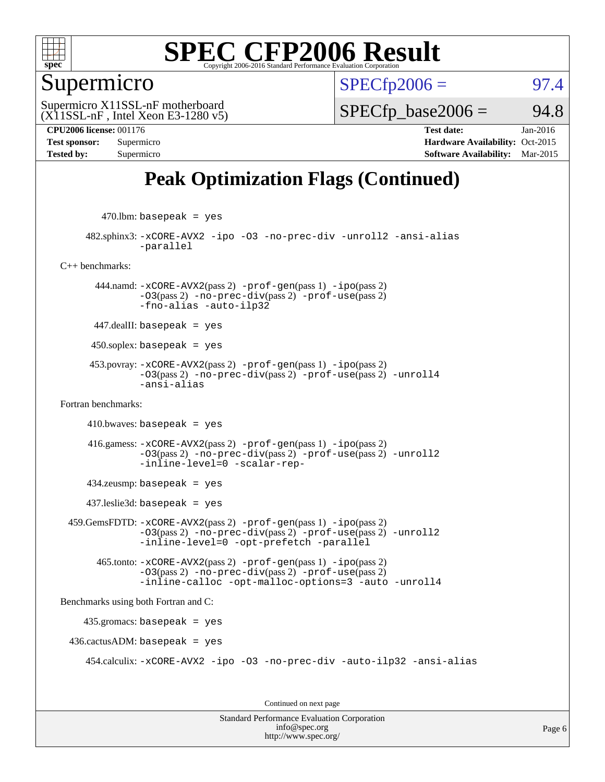

#### Supermicro

 $SPECTp2006 =$  97.4

 $(X11SSL-nF$ , Intel Xeon E3-1280 v5) Supermicro X11SSL-nF motherboard

 $SPECTp\_base2006 = 94.8$ 

**[CPU2006 license:](http://www.spec.org/auto/cpu2006/Docs/result-fields.html#CPU2006license)** 001176 **[Test date:](http://www.spec.org/auto/cpu2006/Docs/result-fields.html#Testdate)** Jan-2016 **[Test sponsor:](http://www.spec.org/auto/cpu2006/Docs/result-fields.html#Testsponsor)** Supermicro Supermicro **[Hardware Availability:](http://www.spec.org/auto/cpu2006/Docs/result-fields.html#HardwareAvailability)** Oct-2015 **[Tested by:](http://www.spec.org/auto/cpu2006/Docs/result-fields.html#Testedby)** Supermicro **[Software Availability:](http://www.spec.org/auto/cpu2006/Docs/result-fields.html#SoftwareAvailability)** Mar-2015

### **[Peak Optimization Flags \(Continued\)](http://www.spec.org/auto/cpu2006/Docs/result-fields.html#PeakOptimizationFlags)**

 $470$ .lbm: basepeak = yes

 482.sphinx3: [-xCORE-AVX2](http://www.spec.org/cpu2006/results/res2016q1/cpu2006-20160206-38989.flags.html#user_peakOPTIMIZE482_sphinx3_f-xAVX2_5f5fc0cbe2c9f62c816d3e45806c70d7) [-ipo](http://www.spec.org/cpu2006/results/res2016q1/cpu2006-20160206-38989.flags.html#user_peakOPTIMIZE482_sphinx3_f-ipo) [-O3](http://www.spec.org/cpu2006/results/res2016q1/cpu2006-20160206-38989.flags.html#user_peakOPTIMIZE482_sphinx3_f-O3) [-no-prec-div](http://www.spec.org/cpu2006/results/res2016q1/cpu2006-20160206-38989.flags.html#user_peakOPTIMIZE482_sphinx3_f-no-prec-div) [-unroll2](http://www.spec.org/cpu2006/results/res2016q1/cpu2006-20160206-38989.flags.html#user_peakCOPTIMIZE482_sphinx3_f-unroll_784dae83bebfb236979b41d2422d7ec2) [-ansi-alias](http://www.spec.org/cpu2006/results/res2016q1/cpu2006-20160206-38989.flags.html#user_peakCOPTIMIZE482_sphinx3_f-ansi-alias) [-parallel](http://www.spec.org/cpu2006/results/res2016q1/cpu2006-20160206-38989.flags.html#user_peakCOPTIMIZE482_sphinx3_f-parallel)

[C++ benchmarks:](http://www.spec.org/auto/cpu2006/Docs/result-fields.html#CXXbenchmarks)

 444.namd: [-xCORE-AVX2](http://www.spec.org/cpu2006/results/res2016q1/cpu2006-20160206-38989.flags.html#user_peakPASS2_CXXFLAGSPASS2_LDFLAGS444_namd_f-xAVX2_5f5fc0cbe2c9f62c816d3e45806c70d7)(pass 2) [-prof-gen](http://www.spec.org/cpu2006/results/res2016q1/cpu2006-20160206-38989.flags.html#user_peakPASS1_CXXFLAGSPASS1_LDFLAGS444_namd_prof_gen_e43856698f6ca7b7e442dfd80e94a8fc)(pass 1) [-ipo](http://www.spec.org/cpu2006/results/res2016q1/cpu2006-20160206-38989.flags.html#user_peakPASS2_CXXFLAGSPASS2_LDFLAGS444_namd_f-ipo)(pass 2)  $-03$ (pass 2)  $-no-prec-div(pass 2)$  $-no-prec-div(pass 2)$   $-prof-use(pass 2)$  $-prof-use(pass 2)$ [-fno-alias](http://www.spec.org/cpu2006/results/res2016q1/cpu2006-20160206-38989.flags.html#user_peakCXXOPTIMIZEOPTIMIZE444_namd_f-no-alias_694e77f6c5a51e658e82ccff53a9e63a) [-auto-ilp32](http://www.spec.org/cpu2006/results/res2016q1/cpu2006-20160206-38989.flags.html#user_peakCXXOPTIMIZE444_namd_f-auto-ilp32)

447.dealII: basepeak = yes

 $450$ .soplex: basepeak = yes

 453.povray: [-xCORE-AVX2](http://www.spec.org/cpu2006/results/res2016q1/cpu2006-20160206-38989.flags.html#user_peakPASS2_CXXFLAGSPASS2_LDFLAGS453_povray_f-xAVX2_5f5fc0cbe2c9f62c816d3e45806c70d7)(pass 2) [-prof-gen](http://www.spec.org/cpu2006/results/res2016q1/cpu2006-20160206-38989.flags.html#user_peakPASS1_CXXFLAGSPASS1_LDFLAGS453_povray_prof_gen_e43856698f6ca7b7e442dfd80e94a8fc)(pass 1) [-ipo](http://www.spec.org/cpu2006/results/res2016q1/cpu2006-20160206-38989.flags.html#user_peakPASS2_CXXFLAGSPASS2_LDFLAGS453_povray_f-ipo)(pass 2) [-O3](http://www.spec.org/cpu2006/results/res2016q1/cpu2006-20160206-38989.flags.html#user_peakPASS2_CXXFLAGSPASS2_LDFLAGS453_povray_f-O3)(pass 2) [-no-prec-div](http://www.spec.org/cpu2006/results/res2016q1/cpu2006-20160206-38989.flags.html#user_peakPASS2_CXXFLAGSPASS2_LDFLAGS453_povray_f-no-prec-div)(pass 2) [-prof-use](http://www.spec.org/cpu2006/results/res2016q1/cpu2006-20160206-38989.flags.html#user_peakPASS2_CXXFLAGSPASS2_LDFLAGS453_povray_prof_use_bccf7792157ff70d64e32fe3e1250b55)(pass 2) [-unroll4](http://www.spec.org/cpu2006/results/res2016q1/cpu2006-20160206-38989.flags.html#user_peakCXXOPTIMIZE453_povray_f-unroll_4e5e4ed65b7fd20bdcd365bec371b81f) [-ansi-alias](http://www.spec.org/cpu2006/results/res2016q1/cpu2006-20160206-38989.flags.html#user_peakCXXOPTIMIZE453_povray_f-ansi-alias)

[Fortran benchmarks](http://www.spec.org/auto/cpu2006/Docs/result-fields.html#Fortranbenchmarks):

 $410.bwaves: basepeak = yes$ 

 416.gamess: [-xCORE-AVX2](http://www.spec.org/cpu2006/results/res2016q1/cpu2006-20160206-38989.flags.html#user_peakPASS2_FFLAGSPASS2_LDFLAGS416_gamess_f-xAVX2_5f5fc0cbe2c9f62c816d3e45806c70d7)(pass 2) [-prof-gen](http://www.spec.org/cpu2006/results/res2016q1/cpu2006-20160206-38989.flags.html#user_peakPASS1_FFLAGSPASS1_LDFLAGS416_gamess_prof_gen_e43856698f6ca7b7e442dfd80e94a8fc)(pass 1) [-ipo](http://www.spec.org/cpu2006/results/res2016q1/cpu2006-20160206-38989.flags.html#user_peakPASS2_FFLAGSPASS2_LDFLAGS416_gamess_f-ipo)(pass 2) [-O3](http://www.spec.org/cpu2006/results/res2016q1/cpu2006-20160206-38989.flags.html#user_peakPASS2_FFLAGSPASS2_LDFLAGS416_gamess_f-O3)(pass 2) [-no-prec-div](http://www.spec.org/cpu2006/results/res2016q1/cpu2006-20160206-38989.flags.html#user_peakPASS2_FFLAGSPASS2_LDFLAGS416_gamess_f-no-prec-div)(pass 2) [-prof-use](http://www.spec.org/cpu2006/results/res2016q1/cpu2006-20160206-38989.flags.html#user_peakPASS2_FFLAGSPASS2_LDFLAGS416_gamess_prof_use_bccf7792157ff70d64e32fe3e1250b55)(pass 2) [-unroll2](http://www.spec.org/cpu2006/results/res2016q1/cpu2006-20160206-38989.flags.html#user_peakOPTIMIZE416_gamess_f-unroll_784dae83bebfb236979b41d2422d7ec2) [-inline-level=0](http://www.spec.org/cpu2006/results/res2016q1/cpu2006-20160206-38989.flags.html#user_peakOPTIMIZE416_gamess_f-inline-level_318d07a09274ad25e8d15dbfaa68ba50) [-scalar-rep-](http://www.spec.org/cpu2006/results/res2016q1/cpu2006-20160206-38989.flags.html#user_peakOPTIMIZE416_gamess_f-disablescalarrep_abbcad04450fb118e4809c81d83c8a1d)

434.zeusmp: basepeak = yes

437.leslie3d: basepeak = yes

 459.GemsFDTD: [-xCORE-AVX2](http://www.spec.org/cpu2006/results/res2016q1/cpu2006-20160206-38989.flags.html#user_peakPASS2_FFLAGSPASS2_LDFLAGS459_GemsFDTD_f-xAVX2_5f5fc0cbe2c9f62c816d3e45806c70d7)(pass 2) [-prof-gen](http://www.spec.org/cpu2006/results/res2016q1/cpu2006-20160206-38989.flags.html#user_peakPASS1_FFLAGSPASS1_LDFLAGS459_GemsFDTD_prof_gen_e43856698f6ca7b7e442dfd80e94a8fc)(pass 1) [-ipo](http://www.spec.org/cpu2006/results/res2016q1/cpu2006-20160206-38989.flags.html#user_peakPASS2_FFLAGSPASS2_LDFLAGS459_GemsFDTD_f-ipo)(pass 2) [-O3](http://www.spec.org/cpu2006/results/res2016q1/cpu2006-20160206-38989.flags.html#user_peakPASS2_FFLAGSPASS2_LDFLAGS459_GemsFDTD_f-O3)(pass 2) [-no-prec-div](http://www.spec.org/cpu2006/results/res2016q1/cpu2006-20160206-38989.flags.html#user_peakPASS2_FFLAGSPASS2_LDFLAGS459_GemsFDTD_f-no-prec-div)(pass 2) [-prof-use](http://www.spec.org/cpu2006/results/res2016q1/cpu2006-20160206-38989.flags.html#user_peakPASS2_FFLAGSPASS2_LDFLAGS459_GemsFDTD_prof_use_bccf7792157ff70d64e32fe3e1250b55)(pass 2) [-unroll2](http://www.spec.org/cpu2006/results/res2016q1/cpu2006-20160206-38989.flags.html#user_peakOPTIMIZE459_GemsFDTD_f-unroll_784dae83bebfb236979b41d2422d7ec2) [-inline-level=0](http://www.spec.org/cpu2006/results/res2016q1/cpu2006-20160206-38989.flags.html#user_peakOPTIMIZE459_GemsFDTD_f-inline-level_318d07a09274ad25e8d15dbfaa68ba50) [-opt-prefetch](http://www.spec.org/cpu2006/results/res2016q1/cpu2006-20160206-38989.flags.html#user_peakOPTIMIZE459_GemsFDTD_f-opt-prefetch) [-parallel](http://www.spec.org/cpu2006/results/res2016q1/cpu2006-20160206-38989.flags.html#user_peakOPTIMIZE459_GemsFDTD_f-parallel)

```
 465.tonto: -xCORE-AVX2(pass 2) -prof-gen(pass 1) -ipo(pass 2)
-O3(pass 2) -no-prec-div(pass 2) -prof-use(pass 2)
-inline-calloc -opt-malloc-options=3 -auto -unroll4
```
[Benchmarks using both Fortran and C](http://www.spec.org/auto/cpu2006/Docs/result-fields.html#BenchmarksusingbothFortranandC):

435.gromacs: basepeak = yes

 $436.cactusADM: basepeak = yes$ 

454.calculix: [-xCORE-AVX2](http://www.spec.org/cpu2006/results/res2016q1/cpu2006-20160206-38989.flags.html#user_peakOPTIMIZE454_calculix_f-xAVX2_5f5fc0cbe2c9f62c816d3e45806c70d7) [-ipo](http://www.spec.org/cpu2006/results/res2016q1/cpu2006-20160206-38989.flags.html#user_peakOPTIMIZE454_calculix_f-ipo) [-O3](http://www.spec.org/cpu2006/results/res2016q1/cpu2006-20160206-38989.flags.html#user_peakOPTIMIZE454_calculix_f-O3) [-no-prec-div](http://www.spec.org/cpu2006/results/res2016q1/cpu2006-20160206-38989.flags.html#user_peakOPTIMIZE454_calculix_f-no-prec-div) [-auto-ilp32](http://www.spec.org/cpu2006/results/res2016q1/cpu2006-20160206-38989.flags.html#user_peakCOPTIMIZE454_calculix_f-auto-ilp32) [-ansi-alias](http://www.spec.org/cpu2006/results/res2016q1/cpu2006-20160206-38989.flags.html#user_peakCOPTIMIZE454_calculix_f-ansi-alias)

Continued on next page